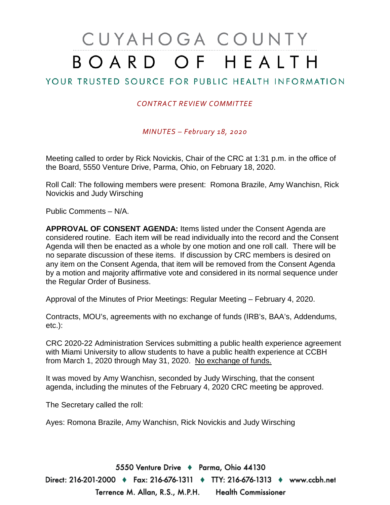# CUYAHOGA COUNTY BOARD OF HEALTH

## YOUR TRUSTED SOURCE FOR PUBLIC HEALTH INFORMATION

#### *CONTRACT REVIEW COMMITTEE*

*MINUTES – February 18, 2020*

Meeting called to order by Rick Novickis, Chair of the CRC at 1:31 p.m. in the office of the Board, 5550 Venture Drive, Parma, Ohio, on February 18, 2020.

Roll Call: The following members were present: Romona Brazile, Amy Wanchisn, Rick Novickis and Judy Wirsching

Public Comments – N/A.

**APPROVAL OF CONSENT AGENDA:** Items listed under the Consent Agenda are considered routine. Each item will be read individually into the record and the Consent Agenda will then be enacted as a whole by one motion and one roll call. There will be no separate discussion of these items. If discussion by CRC members is desired on any item on the Consent Agenda, that item will be removed from the Consent Agenda by a motion and majority affirmative vote and considered in its normal sequence under the Regular Order of Business.

Approval of the Minutes of Prior Meetings: Regular Meeting – February 4, 2020.

Contracts, MOU's, agreements with no exchange of funds (IRB's, BAA's, Addendums, etc.):

CRC 2020-22 Administration Services submitting a public health experience agreement with Miami University to allow students to have a public health experience at CCBH from March 1, 2020 through May 31, 2020. No exchange of funds.

It was moved by Amy Wanchisn, seconded by Judy Wirsching, that the consent agenda, including the minutes of the February 4, 2020 CRC meeting be approved.

The Secretary called the roll:

Ayes: Romona Brazile, Amy Wanchisn, Rick Novickis and Judy Wirsching

5550 Venture Drive + Parma, Ohio 44130 Direct: 216-201-2000 ♦ Fax: 216-676-1311 ♦ TTY: 216-676-1313 ♦ www.ccbh.net Terrence M. Allan, R.S., M.P.H. Health Commissioner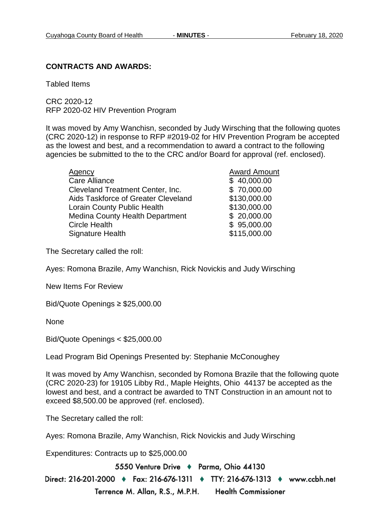#### **CONTRACTS AND AWARDS:**

Tabled Items

CRC 2020-12 RFP 2020-02 HIV Prevention Program

It was moved by Amy Wanchisn, seconded by Judy Wirsching that the following quotes (CRC 2020-12) in response to RFP #2019-02 for HIV Prevention Program be accepted as the lowest and best, and a recommendation to award a contract to the following agencies be submitted to the to the CRC and/or Board for approval (ref. enclosed).

| <b>Agency</b>                           | <b>Award Amount</b> |
|-----------------------------------------|---------------------|
| Care Alliance                           | \$40,000.00         |
| <b>Cleveland Treatment Center, Inc.</b> | \$70,000.00         |
| Aids Taskforce of Greater Cleveland     | \$130,000.00        |
| <b>Lorain County Public Health</b>      | \$130,000.00        |
| <b>Medina County Health Department</b>  | \$20,000.00         |
| <b>Circle Health</b>                    | \$95,000.00         |
| <b>Signature Health</b>                 | \$115,000.00        |

The Secretary called the roll:

Ayes: Romona Brazile, Amy Wanchisn, Rick Novickis and Judy Wirsching

New Items For Review

Bid/Quote Openings ≥ \$25,000.00

None

Bid/Quote Openings < \$25,000.00

Lead Program Bid Openings Presented by: Stephanie McConoughey

It was moved by Amy Wanchisn, seconded by Romona Brazile that the following quote (CRC 2020-23) for 19105 Libby Rd., Maple Heights, Ohio 44137 be accepted as the lowest and best, and a contract be awarded to TNT Construction in an amount not to exceed \$8,500.00 be approved (ref. enclosed).

The Secretary called the roll:

Ayes: Romona Brazile, Amy Wanchisn, Rick Novickis and Judy Wirsching

Expenditures: Contracts up to \$25,000.00

5550 Venture Drive + Parma, Ohio 44130

Direct: 216-201-2000 ♦ Fax: 216-676-1311 ♦ TTY: 216-676-1313 ♦ www.ccbh.net Terrence M. Allan, R.S., M.P.H. **Health Commissioner**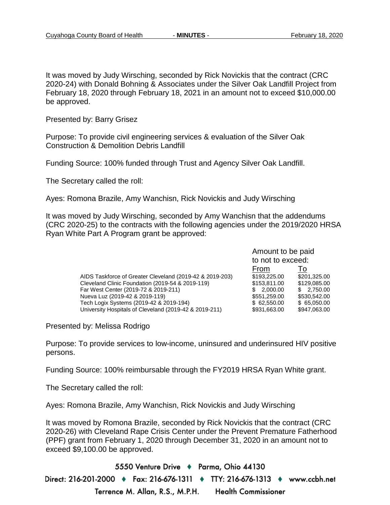It was moved by Judy Wirsching, seconded by Rick Novickis that the contract (CRC 2020-24) with Donald Bohning & Associates under the Silver Oak Landfill Project from February 18, 2020 through February 18, 2021 in an amount not to exceed \$10,000.00 be approved.

Presented by: Barry Grisez

Purpose: To provide civil engineering services & evaluation of the Silver Oak Construction & Demolition Debris Landfill

Funding Source: 100% funded through Trust and Agency Silver Oak Landfill.

The Secretary called the roll:

Ayes: Romona Brazile, Amy Wanchisn, Rick Novickis and Judy Wirsching

It was moved by Judy Wirsching, seconded by Amy Wanchisn that the addendums (CRC 2020-25) to the contracts with the following agencies under the 2019/2020 HRSA Ryan White Part A Program grant be approved:

|                                                          | Amount to be paid<br>to not to exceed: |              |
|----------------------------------------------------------|----------------------------------------|--------------|
|                                                          |                                        |              |
|                                                          | From                                   | 10           |
| AIDS Taskforce of Greater Cleveland (2019-42 & 2019-203) | \$193,225,00                           | \$201,325.00 |
| Cleveland Clinic Foundation (2019-54 & 2019-119)         | \$153,811.00                           | \$129,085.00 |
| Far West Center (2019-72 & 2019-211)                     | \$2,000.00                             | \$2,750.00   |
| Nueva Luz (2019-42 & 2019-119)                           | \$551,259.00                           | \$530,542.00 |
| Tech Logix Systems (2019-42 & 2019-194)                  | \$62,550,00                            | \$65,050.00  |
| University Hospitals of Cleveland (2019-42 & 2019-211)   | \$931,663.00                           | \$947,063.00 |
|                                                          |                                        |              |

Presented by: Melissa Rodrigo

Purpose: To provide services to low-income, uninsured and underinsured HIV positive persons.

Funding Source: 100% reimbursable through the FY2019 HRSA Ryan White grant.

The Secretary called the roll:

Ayes: Romona Brazile, Amy Wanchisn, Rick Novickis and Judy Wirsching

It was moved by Romona Brazile, seconded by Rick Novickis that the contract (CRC 2020-26) with Cleveland Rape Crisis Center under the Prevent Premature Fatherhood (PPF) grant from February 1, 2020 through December 31, 2020 in an amount not to exceed \$9,100.00 be approved.

5550 Venture Drive + Parma, Ohio 44130 Direct: 216-201-2000 ♦ Fax: 216-676-1311 ♦ TTY: 216-676-1313 ♦ www.ccbh.net Terrence M. Allan, R.S., M.P.H. Health Commissioner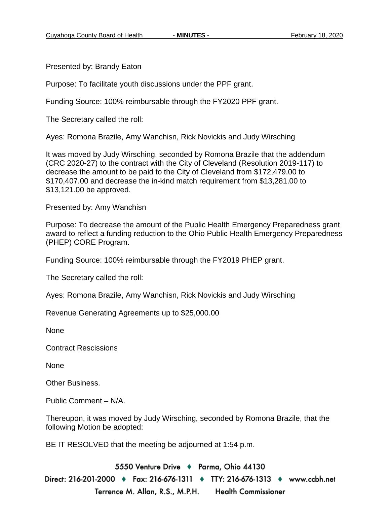Presented by: Brandy Eaton

Purpose: To facilitate youth discussions under the PPF grant.

Funding Source: 100% reimbursable through the FY2020 PPF grant.

The Secretary called the roll:

Ayes: Romona Brazile, Amy Wanchisn, Rick Novickis and Judy Wirsching

It was moved by Judy Wirsching, seconded by Romona Brazile that the addendum (CRC 2020-27) to the contract with the City of Cleveland (Resolution 2019-117) to decrease the amount to be paid to the City of Cleveland from \$172,479.00 to \$170,407.00 and decrease the in-kind match requirement from \$13,281.00 to \$13,121.00 be approved.

Presented by: Amy Wanchisn

Purpose: To decrease the amount of the Public Health Emergency Preparedness grant award to reflect a funding reduction to the Ohio Public Health Emergency Preparedness (PHEP) CORE Program.

Funding Source: 100% reimbursable through the FY2019 PHEP grant.

The Secretary called the roll:

Ayes: Romona Brazile, Amy Wanchisn, Rick Novickis and Judy Wirsching

Revenue Generating Agreements up to \$25,000.00

None

Contract Rescissions

None

Other Business.

Public Comment – N/A.

Thereupon, it was moved by Judy Wirsching, seconded by Romona Brazile, that the following Motion be adopted:

BE IT RESOLVED that the meeting be adjourned at 1:54 p.m.

5550 Venture Drive + Parma, Ohio 44130 Direct: 216-201-2000 ♦ Fax: 216-676-1311 ♦ TTY: 216-676-1313 ♦ www.ccbh.net Terrence M. Allan, R.S., M.P.H. **Health Commissioner**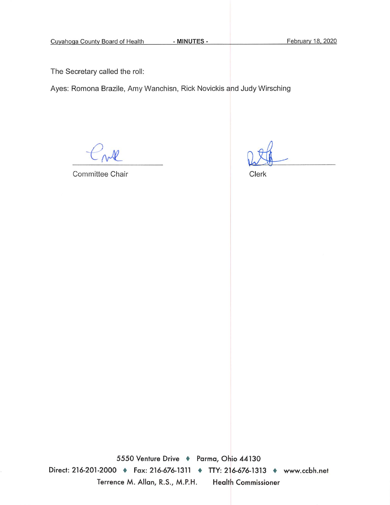- MINUTES -

The Secretary called the roll:

Ayes: Romona Brazile, Amy Wanchisn, Rick Novickis and Judy Wirsching

ml

Committee Chair

Clerk

5550 Venture Drive + Parma, Ohio 44130 Direct: 216-201-2000 • Fax: 216-676-1311 • TTY: 216-676-1313 • www.ccbh.net Terrence M. Allan, R.S., M.P.H. **Health Commissioner**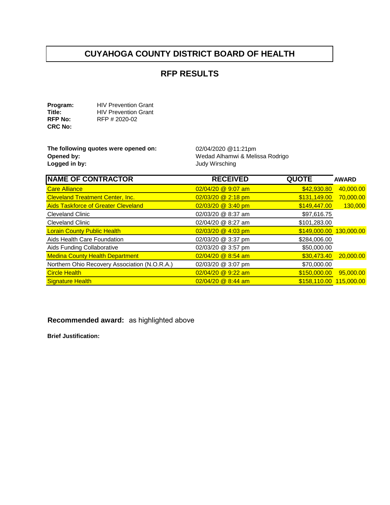## **CUYAHOGA COUNTY DISTRICT BOARD OF HEALTH**

### **RFP RESULTS**

**Program:** HIV Prevention Grant<br> **Title:** HIV Prevention Grant **Title:** HIV Prevention Grant<br> **RFP No:** RFP # 2020-02 **RFP No:** RFP # 2020-02 **CRC No:** 

**The following quotes were opened on:** 02/04/2020 @11:21pm<br>Opened by: Wedad Alhamwi & Meli **Opened by: Opened by: Wedad Alhamwi & Melissa Rodrigo**<br> **Logged in by: Wedad Alhamwi & Melissa Rodrigo** 

**Logged in by:** Judy Wirsching

| <b>NAME OF CONTRACTOR</b>                     | <b>RECEIVED</b>      | <b>QUOTE</b>            | <b>AWARD</b> |
|-----------------------------------------------|----------------------|-------------------------|--------------|
| <b>Care Alliance</b>                          | 02/04/20 @ 9:07 am   | \$42,930.80             | 40,000.00    |
| <b>Cleveland Treatment Center, Inc.</b>       | 02/03/20 @ 2:18 pm   | \$131,149.00            | 70,000.00    |
| <b>Aids Taskforce of Greater Cleveland</b>    | 02/03/20 @ 3:40 pm   | \$149,447.00            | 130,000      |
| <b>Cleveland Clinic</b>                       | 02/03/20 @ 8:37 am   | \$97,616.75             |              |
| <b>Cleveland Clinic</b>                       | 02/04/20 @ 8:27 am   | \$101,283.00            |              |
| <b>Lorain County Public Health</b>            | $02/03/20$ @ 4:03 pm | \$149,000.00 130,000.00 |              |
| Aids Health Care Foundation                   | 02/03/20 @ 3:37 pm   | \$284,006.00            |              |
| Aids Funding Collaborative                    | 02/03/20 @ 3:57 pm   | \$50,000.00             |              |
| <b>Medina County Health Department</b>        | 02/04/20 @ 8:54 am   | \$30,473.40             | 20,000.00    |
| Northern Ohio Recovery Association (N.O.R.A.) | 02/03/20 @ 3:07 pm   | \$70,000.00             |              |
| <b>Circle Health</b>                          | 02/04/20 @ 9:22 am   | \$150,000.00            | 95,000.00    |
| <b>Signature Health</b>                       | $02/04/20$ @ 8:44 am | \$158.110.00 115.000.00 |              |

**Recommended award:**  as highlighted above

**Brief Justification:**